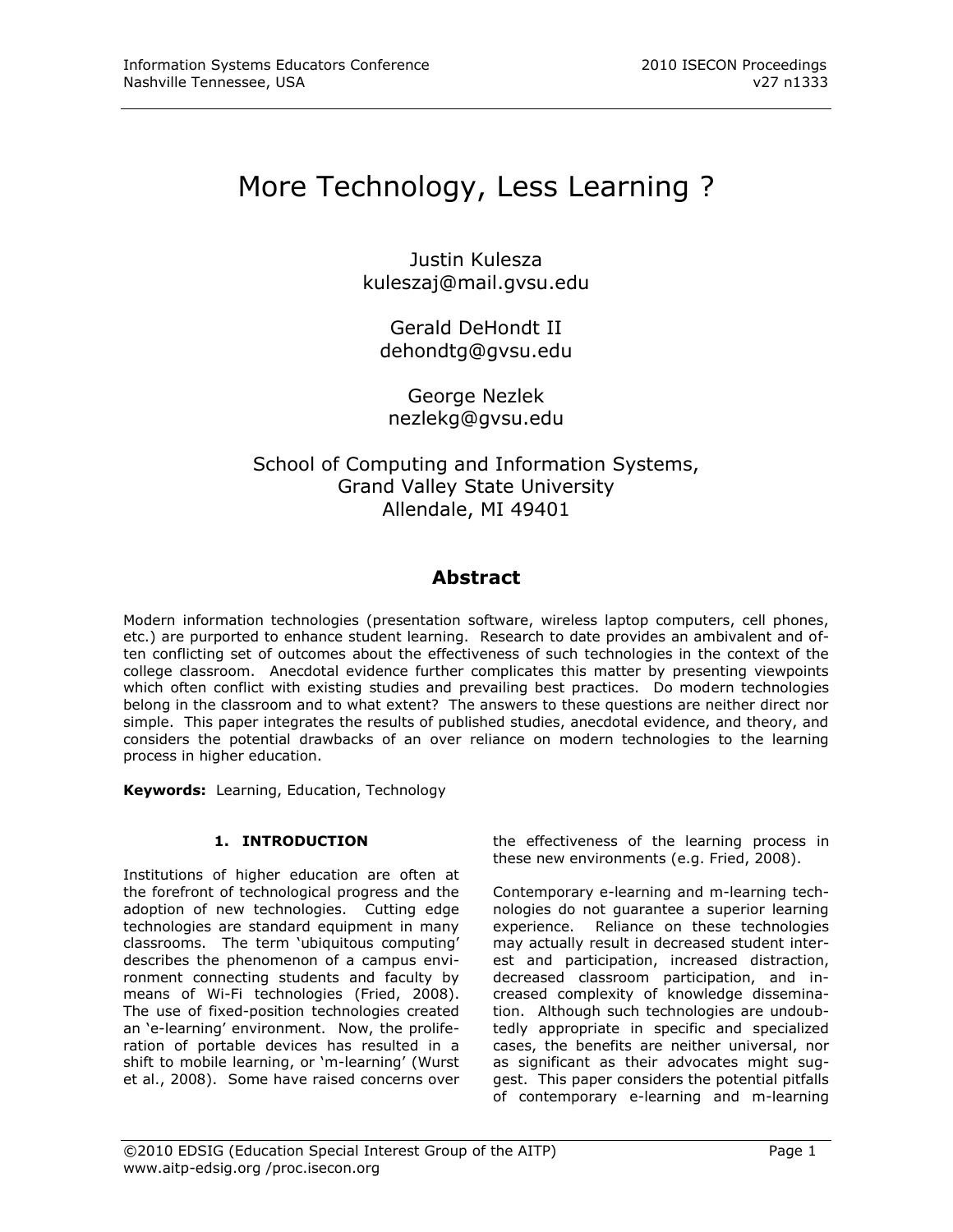# More Technology, Less Learning ?

Justin Kulesza [kuleszaj@mail.gvsu.edu](mailto:kuleszaj@mail.gvsu.edu)

Gerald DeHondt II dehondtg@gvsu.edu

George Nezlek nezlekg@gvsu.edu

## School of Computing and Information Systems, Grand Valley State University Allendale, MI 49401

# **Abstract**

Modern information technologies (presentation software, wireless laptop computers, cell phones, etc.) are purported to enhance student learning. Research to date provides an ambivalent and often conflicting set of outcomes about the effectiveness of such technologies in the context of the college classroom. Anecdotal evidence further complicates this matter by presenting viewpoints which often conflict with existing studies and prevailing best practices. Do modern technologies belong in the classroom and to what extent? The answers to these questions are neither direct nor simple. This paper integrates the results of published studies, anecdotal evidence, and theory, and considers the potential drawbacks of an over reliance on modern technologies to the learning process in higher education.

**Keywords:** Learning, Education, Technology

## **1. INTRODUCTION**

Institutions of higher education are often at the forefront of technological progress and the adoption of new technologies. Cutting edge technologies are standard equipment in many classrooms. The term "ubiquitous computing" describes the phenomenon of a campus environment connecting students and faculty by means of Wi-Fi technologies (Fried, 2008). The use of fixed-position technologies created an 'e-learning' environment. Now, the proliferation of portable devices has resulted in a shift to mobile learning, or 'm-learning' (Wurst et al., 2008). Some have raised concerns over

the effectiveness of the learning process in these new environments (e.g. Fried, 2008).

Contemporary e-learning and m-learning technologies do not guarantee a superior learning experience. Reliance on these technologies may actually result in decreased student interest and participation, increased distraction, decreased classroom participation, and increased complexity of knowledge dissemination. Although such technologies are undoubtedly appropriate in specific and specialized cases, the benefits are neither universal, nor as significant as their advocates might suggest. This paper considers the potential pitfalls of contemporary e-learning and m-learning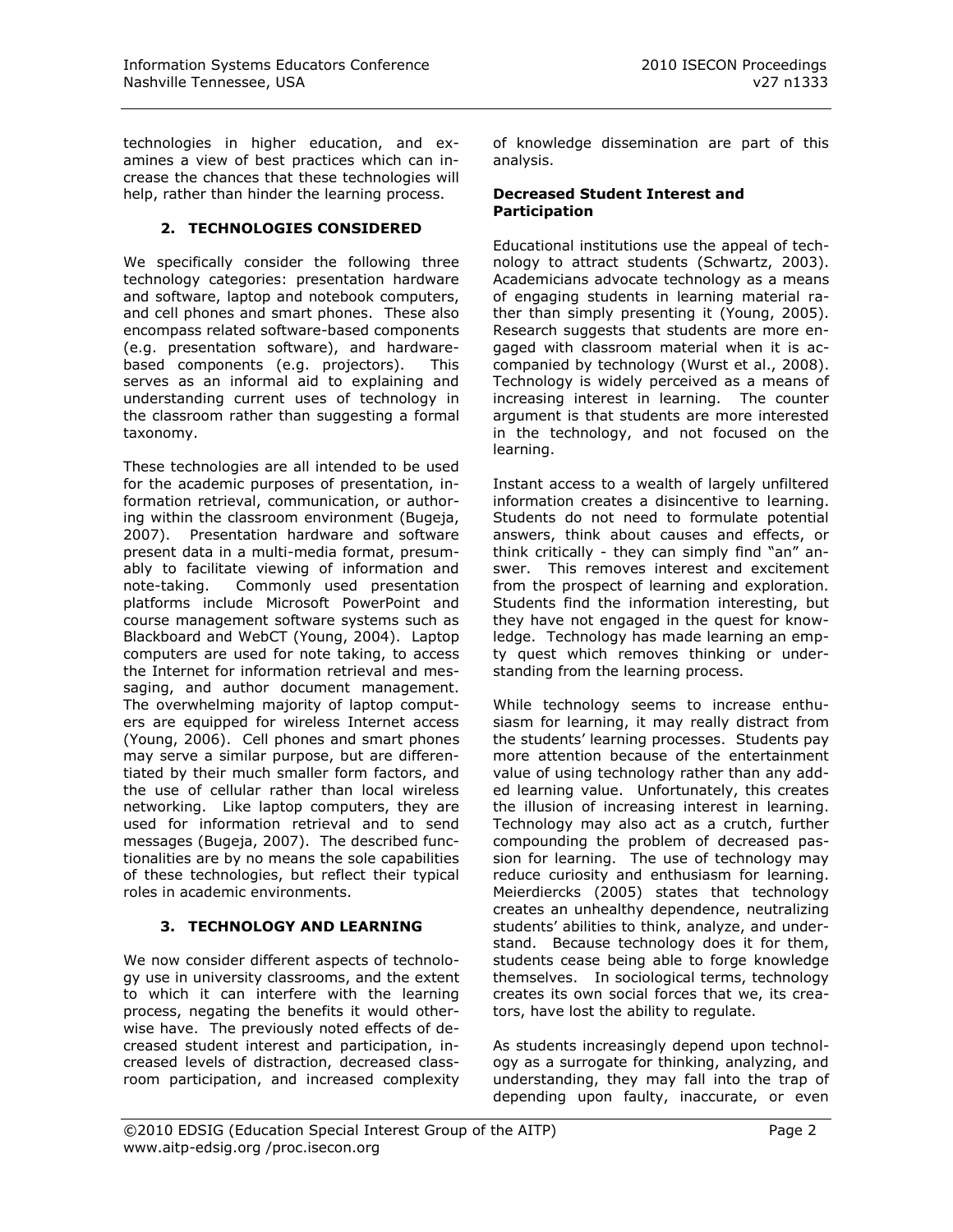technologies in higher education, and examines a view of best practices which can increase the chances that these technologies will help, rather than hinder the learning process.

#### **2. TECHNOLOGIES CONSIDERED**

We specifically consider the following three technology categories: presentation hardware and software, laptop and notebook computers, and cell phones and smart phones. These also encompass related software-based components (e.g. presentation software), and hardwarebased components (e.g. projectors). This serves as an informal aid to explaining and understanding current uses of technology in the classroom rather than suggesting a formal taxonomy.

These technologies are all intended to be used for the academic purposes of presentation, information retrieval, communication, or authoring within the classroom environment (Bugeja, 2007). Presentation hardware and software present data in a multi-media format, presumably to facilitate viewing of information and note-taking. Commonly used presentation platforms include Microsoft PowerPoint and course management software systems such as Blackboard and WebCT (Young, 2004). Laptop computers are used for note taking, to access the Internet for information retrieval and messaging, and author document management. The overwhelming majority of laptop computers are equipped for wireless Internet access (Young, 2006). Cell phones and smart phones may serve a similar purpose, but are differentiated by their much smaller form factors, and the use of cellular rather than local wireless networking. Like laptop computers, they are used for information retrieval and to send messages (Bugeja, 2007). The described functionalities are by no means the sole capabilities of these technologies, but reflect their typical roles in academic environments.

## **3. TECHNOLOGY AND LEARNING**

We now consider different aspects of technology use in university classrooms, and the extent to which it can interfere with the learning process, negating the benefits it would otherwise have. The previously noted effects of decreased student interest and participation, increased levels of distraction, decreased classroom participation, and increased complexity of knowledge dissemination are part of this analysis.

#### **Decreased Student Interest and Participation**

Educational institutions use the appeal of technology to attract students (Schwartz, 2003). Academicians advocate technology as a means of engaging students in learning material rather than simply presenting it (Young, 2005). Research suggests that students are more engaged with classroom material when it is accompanied by technology (Wurst et al., 2008). Technology is widely perceived as a means of increasing interest in learning. The counter argument is that students are more interested in the technology, and not focused on the learning.

Instant access to a wealth of largely unfiltered information creates a disincentive to learning. Students do not need to formulate potential answers, think about causes and effects, or think critically - they can simply find "an" answer. This removes interest and excitement from the prospect of learning and exploration. Students find the information interesting, but they have not engaged in the quest for knowledge. Technology has made learning an empty quest which removes thinking or understanding from the learning process.

While technology seems to increase enthusiasm for learning, it may really distract from the students" learning processes. Students pay more attention because of the entertainment value of using technology rather than any added learning value. Unfortunately, this creates the illusion of increasing interest in learning. Technology may also act as a crutch, further compounding the problem of decreased passion for learning. The use of technology may reduce curiosity and enthusiasm for learning. Meierdiercks (2005) states that technology creates an unhealthy dependence, neutralizing students' abilities to think, analyze, and understand. Because technology does it for them, students cease being able to forge knowledge themselves. In sociological terms, technology creates its own social forces that we, its creators, have lost the ability to regulate.

As students increasingly depend upon technology as a surrogate for thinking, analyzing, and understanding, they may fall into the trap of depending upon faulty, inaccurate, or even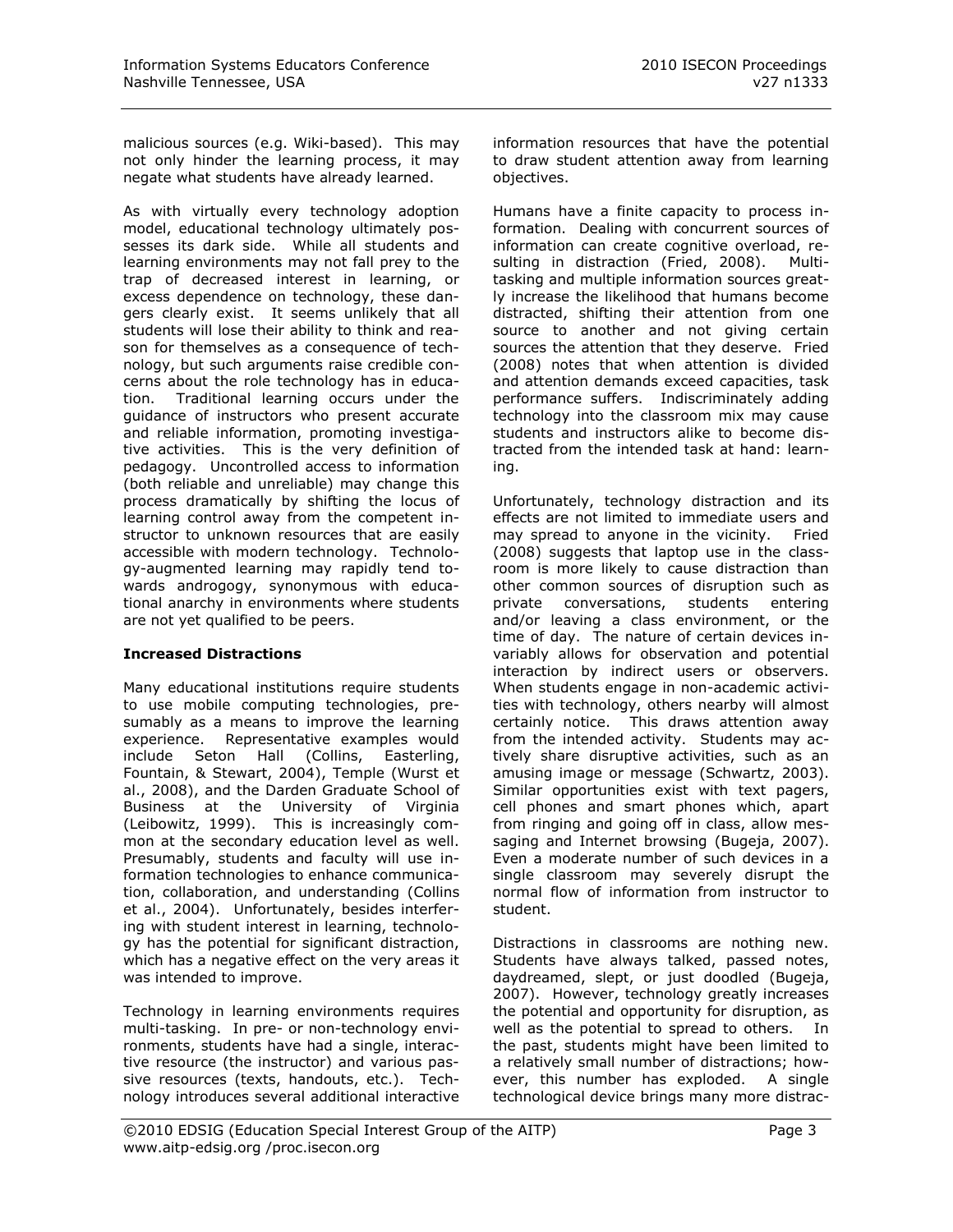malicious sources (e.g. Wiki-based). This may not only hinder the learning process, it may negate what students have already learned.

As with virtually every technology adoption model, educational technology ultimately possesses its dark side. While all students and learning environments may not fall prey to the trap of decreased interest in learning, or excess dependence on technology, these dangers clearly exist. It seems unlikely that all students will lose their ability to think and reason for themselves as a consequence of technology, but such arguments raise credible concerns about the role technology has in education. Traditional learning occurs under the guidance of instructors who present accurate and reliable information, promoting investigative activities. This is the very definition of pedagogy. Uncontrolled access to information (both reliable and unreliable) may change this process dramatically by shifting the locus of learning control away from the competent instructor to unknown resources that are easily accessible with modern technology. Technology-augmented learning may rapidly tend towards androgogy, synonymous with educational anarchy in environments where students are not yet qualified to be peers.

## **Increased Distractions**

Many educational institutions require students to use mobile computing technologies, presumably as a means to improve the learning experience. Representative examples would include Seton Hall (Collins, Easterling, Fountain, & Stewart, 2004), Temple (Wurst et al., 2008), and the Darden Graduate School of Business at the University of Virginia (Leibowitz, 1999). This is increasingly common at the secondary education level as well. Presumably, students and faculty will use information technologies to enhance communication, collaboration, and understanding (Collins et al., 2004). Unfortunately, besides interfering with student interest in learning, technology has the potential for significant distraction, which has a negative effect on the very areas it was intended to improve.

Technology in learning environments requires multi-tasking. In pre- or non-technology environments, students have had a single, interactive resource (the instructor) and various passive resources (texts, handouts, etc.). Technology introduces several additional interactive information resources that have the potential to draw student attention away from learning objectives.

Humans have a finite capacity to process information. Dealing with concurrent sources of information can create cognitive overload, resulting in distraction (Fried, 2008). Multitasking and multiple information sources greatly increase the likelihood that humans become distracted, shifting their attention from one source to another and not giving certain sources the attention that they deserve. Fried (2008) notes that when attention is divided and attention demands exceed capacities, task performance suffers. Indiscriminately adding technology into the classroom mix may cause students and instructors alike to become distracted from the intended task at hand: learning.

Unfortunately, technology distraction and its effects are not limited to immediate users and may spread to anyone in the vicinity. Fried (2008) suggests that laptop use in the classroom is more likely to cause distraction than other common sources of disruption such as private conversations, students entering and/or leaving a class environment, or the time of day. The nature of certain devices invariably allows for observation and potential interaction by indirect users or observers. When students engage in non-academic activities with technology, others nearby will almost certainly notice. This draws attention away from the intended activity. Students may actively share disruptive activities, such as an amusing image or message (Schwartz, 2003). Similar opportunities exist with text pagers, cell phones and smart phones which, apart from ringing and going off in class, allow messaging and Internet browsing (Bugeja, 2007). Even a moderate number of such devices in a single classroom may severely disrupt the normal flow of information from instructor to student.

Distractions in classrooms are nothing new. Students have always talked, passed notes, daydreamed, slept, or just doodled (Bugeja, 2007). However, technology greatly increases the potential and opportunity for disruption, as well as the potential to spread to others. In the past, students might have been limited to a relatively small number of distractions; however, this number has exploded. A single technological device brings many more distrac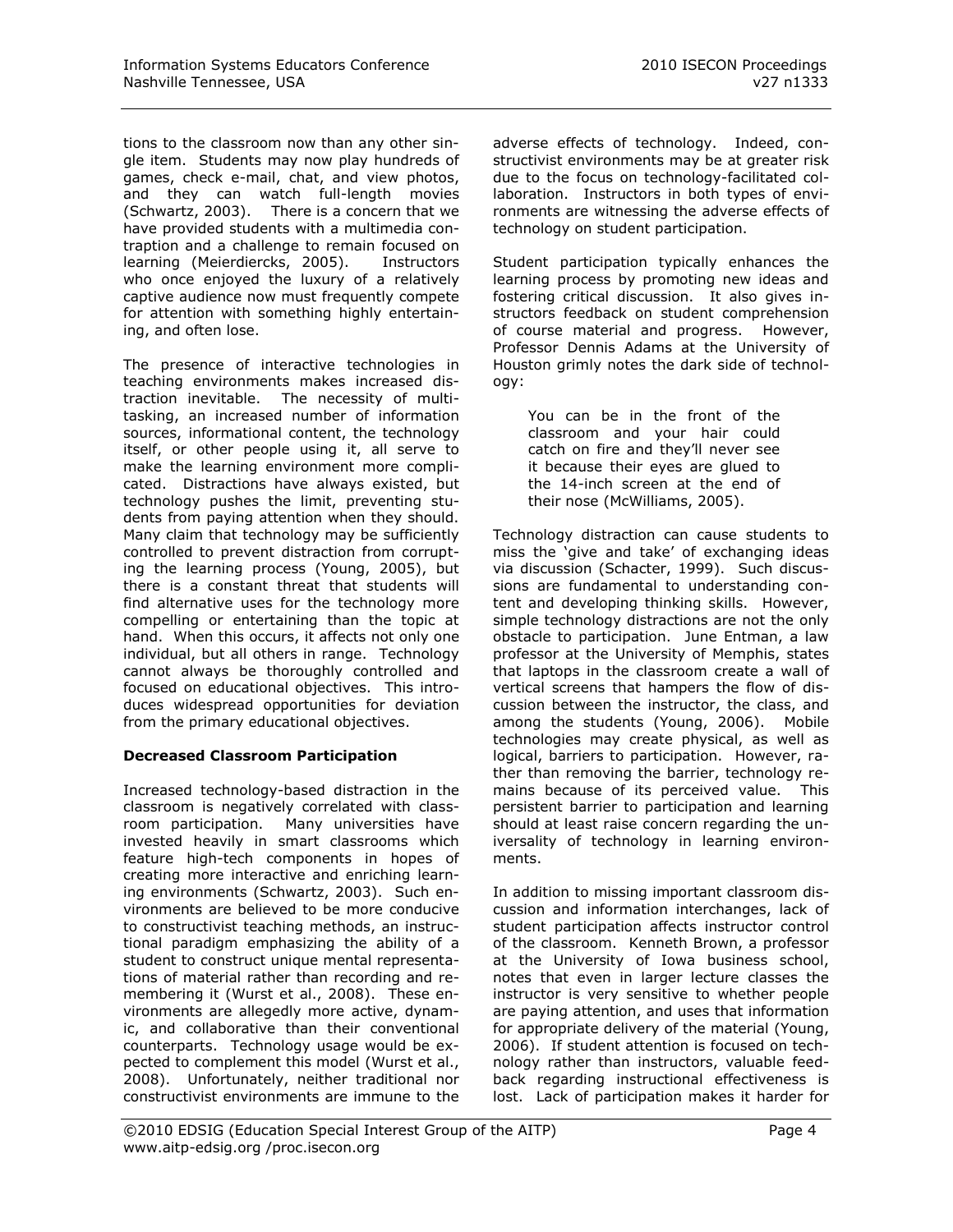tions to the classroom now than any other single item. Students may now play hundreds of games, check e-mail, chat, and view photos, and they can watch full-length movies (Schwartz, 2003). There is a concern that we have provided students with a multimedia contraption and a challenge to remain focused on learning (Meierdiercks, 2005). Instructors who once enjoyed the luxury of a relatively captive audience now must frequently compete for attention with something highly entertaining, and often lose.

The presence of interactive technologies in teaching environments makes increased distraction inevitable. The necessity of multitasking, an increased number of information sources, informational content, the technology itself, or other people using it, all serve to make the learning environment more complicated. Distractions have always existed, but technology pushes the limit, preventing students from paying attention when they should. Many claim that technology may be sufficiently controlled to prevent distraction from corrupting the learning process (Young, 2005), but there is a constant threat that students will find alternative uses for the technology more compelling or entertaining than the topic at hand. When this occurs, it affects not only one individual, but all others in range. Technology cannot always be thoroughly controlled and focused on educational objectives. This introduces widespread opportunities for deviation from the primary educational objectives.

## **Decreased Classroom Participation**

Increased technology-based distraction in the classroom is negatively correlated with classroom participation. Many universities have invested heavily in smart classrooms which feature high-tech components in hopes of creating more interactive and enriching learning environments (Schwartz, 2003). Such environments are believed to be more conducive to constructivist teaching methods, an instructional paradigm emphasizing the ability of a student to construct unique mental representations of material rather than recording and remembering it (Wurst et al., 2008). These environments are allegedly more active, dynamic, and collaborative than their conventional counterparts. Technology usage would be expected to complement this model (Wurst et al., 2008). Unfortunately, neither traditional nor constructivist environments are immune to the adverse effects of technology. Indeed, constructivist environments may be at greater risk due to the focus on technology-facilitated collaboration. Instructors in both types of environments are witnessing the adverse effects of technology on student participation.

Student participation typically enhances the learning process by promoting new ideas and fostering critical discussion. It also gives instructors feedback on student comprehension of course material and progress. However, Professor Dennis Adams at the University of Houston grimly notes the dark side of technology:

You can be in the front of the classroom and your hair could catch on fire and they"ll never see it because their eyes are glued to the 14-inch screen at the end of their nose (McWilliams, 2005).

Technology distraction can cause students to miss the "give and take" of exchanging ideas via discussion (Schacter, 1999). Such discussions are fundamental to understanding content and developing thinking skills. However, simple technology distractions are not the only obstacle to participation. June Entman, a law professor at the University of Memphis, states that laptops in the classroom create a wall of vertical screens that hampers the flow of discussion between the instructor, the class, and among the students (Young, 2006). Mobile technologies may create physical, as well as logical, barriers to participation. However, rather than removing the barrier, technology remains because of its perceived value. This persistent barrier to participation and learning should at least raise concern regarding the universality of technology in learning environments.

In addition to missing important classroom discussion and information interchanges, lack of student participation affects instructor control of the classroom. Kenneth Brown, a professor at the University of Iowa business school, notes that even in larger lecture classes the instructor is very sensitive to whether people are paying attention, and uses that information for appropriate delivery of the material (Young, 2006). If student attention is focused on technology rather than instructors, valuable feedback regarding instructional effectiveness is lost. Lack of participation makes it harder for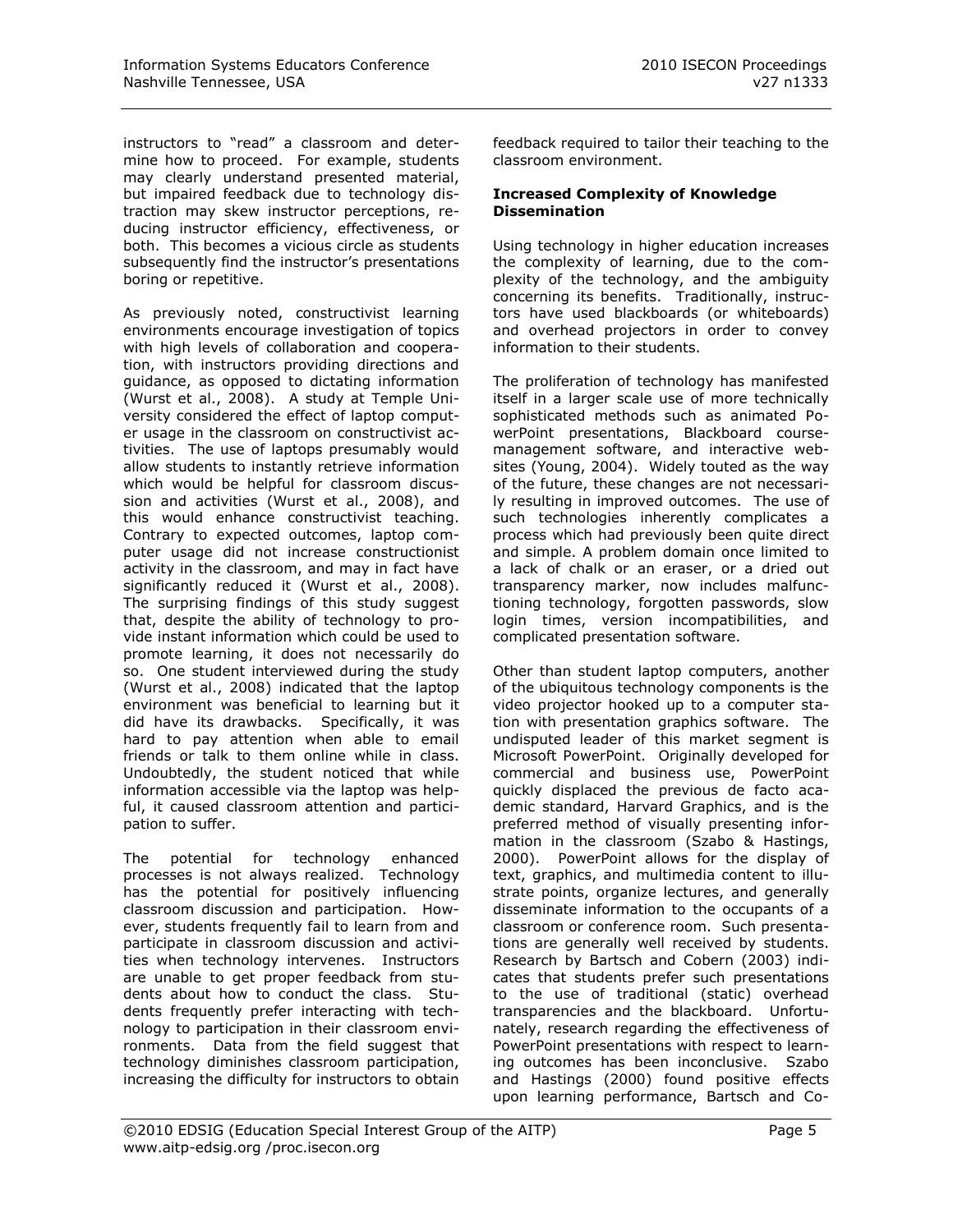instructors to "read" a classroom and determine how to proceed. For example, students may clearly understand presented material, but impaired feedback due to technology distraction may skew instructor perceptions, reducing instructor efficiency, effectiveness, or both. This becomes a vicious circle as students subsequently find the instructor's presentations boring or repetitive.

As previously noted, constructivist learning environments encourage investigation of topics with high levels of collaboration and cooperation, with instructors providing directions and guidance, as opposed to dictating information (Wurst et al., 2008). A study at Temple University considered the effect of laptop computer usage in the classroom on constructivist activities. The use of laptops presumably would allow students to instantly retrieve information which would be helpful for classroom discussion and activities (Wurst et al., 2008), and this would enhance constructivist teaching. Contrary to expected outcomes, laptop computer usage did not increase constructionist activity in the classroom, and may in fact have significantly reduced it (Wurst et al., 2008). The surprising findings of this study suggest that, despite the ability of technology to provide instant information which could be used to promote learning, it does not necessarily do so. One student interviewed during the study (Wurst et al., 2008) indicated that the laptop environment was beneficial to learning but it did have its drawbacks. Specifically, it was hard to pay attention when able to email friends or talk to them online while in class. Undoubtedly, the student noticed that while information accessible via the laptop was helpful, it caused classroom attention and participation to suffer.

The potential for technology enhanced processes is not always realized. Technology has the potential for positively influencing classroom discussion and participation. However, students frequently fail to learn from and participate in classroom discussion and activities when technology intervenes. Instructors are unable to get proper feedback from students about how to conduct the class. Students frequently prefer interacting with technology to participation in their classroom environments. Data from the field suggest that technology diminishes classroom participation, increasing the difficulty for instructors to obtain feedback required to tailor their teaching to the classroom environment.

#### **Increased Complexity of Knowledge Dissemination**

Using technology in higher education increases the complexity of learning, due to the complexity of the technology, and the ambiguity concerning its benefits. Traditionally, instructors have used blackboards (or whiteboards) and overhead projectors in order to convey information to their students.

The proliferation of technology has manifested itself in a larger scale use of more technically sophisticated methods such as animated PowerPoint presentations, Blackboard coursemanagement software, and interactive websites (Young, 2004). Widely touted as the way of the future, these changes are not necessarily resulting in improved outcomes. The use of such technologies inherently complicates a process which had previously been quite direct and simple. A problem domain once limited to a lack of chalk or an eraser, or a dried out transparency marker, now includes malfunctioning technology, forgotten passwords, slow login times, version incompatibilities, and complicated presentation software.

Other than student laptop computers, another of the ubiquitous technology components is the video projector hooked up to a computer station with presentation graphics software. The undisputed leader of this market segment is Microsoft PowerPoint. Originally developed for commercial and business use, PowerPoint quickly displaced the previous de facto academic standard, Harvard Graphics, and is the preferred method of visually presenting information in the classroom (Szabo & Hastings, 2000). PowerPoint allows for the display of text, graphics, and multimedia content to illustrate points, organize lectures, and generally disseminate information to the occupants of a classroom or conference room. Such presentations are generally well received by students. Research by Bartsch and Cobern (2003) indicates that students prefer such presentations to the use of traditional (static) overhead transparencies and the blackboard. Unfortunately, research regarding the effectiveness of PowerPoint presentations with respect to learning outcomes has been inconclusive. Szabo and Hastings (2000) found positive effects upon learning performance, Bartsch and Co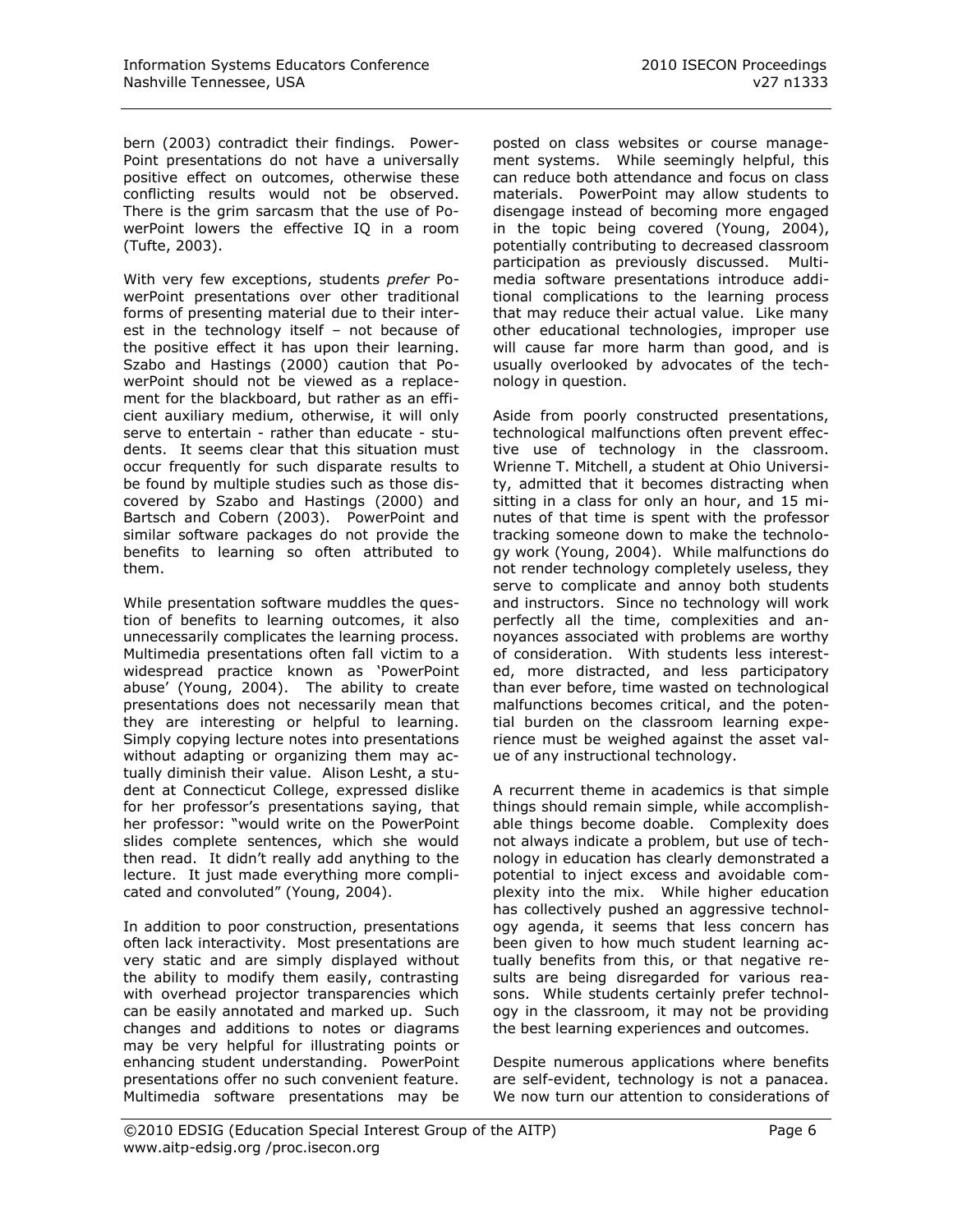bern (2003) contradict their findings. Power-Point presentations do not have a universally positive effect on outcomes, otherwise these conflicting results would not be observed. There is the grim sarcasm that the use of PowerPoint lowers the effective IQ in a room (Tufte, 2003).

With very few exceptions, students *prefer* PowerPoint presentations over other traditional forms of presenting material due to their interest in the technology itself – not because of the positive effect it has upon their learning. Szabo and Hastings (2000) caution that PowerPoint should not be viewed as a replacement for the blackboard, but rather as an efficient auxiliary medium, otherwise, it will only serve to entertain - rather than educate - students. It seems clear that this situation must occur frequently for such disparate results to be found by multiple studies such as those discovered by Szabo and Hastings (2000) and Bartsch and Cobern (2003). PowerPoint and similar software packages do not provide the benefits to learning so often attributed to them.

While presentation software muddles the question of benefits to learning outcomes, it also unnecessarily complicates the learning process. Multimedia presentations often fall victim to a widespread practice known as "PowerPoint abuse" (Young, 2004). The ability to create presentations does not necessarily mean that they are interesting or helpful to learning. Simply copying lecture notes into presentations without adapting or organizing them may actually diminish their value. Alison Lesht, a student at Connecticut College, expressed dislike for her professor's presentations saying, that her professor: "would write on the PowerPoint slides complete sentences, which she would then read. It didn"t really add anything to the lecture. It just made everything more complicated and convoluted" (Young, 2004).

In addition to poor construction, presentations often lack interactivity. Most presentations are very static and are simply displayed without the ability to modify them easily, contrasting with overhead projector transparencies which can be easily annotated and marked up. Such changes and additions to notes or diagrams may be very helpful for illustrating points or enhancing student understanding. PowerPoint presentations offer no such convenient feature. Multimedia software presentations may be

posted on class websites or course management systems. While seemingly helpful, this can reduce both attendance and focus on class materials. PowerPoint may allow students to disengage instead of becoming more engaged in the topic being covered (Young, 2004), potentially contributing to decreased classroom participation as previously discussed. Multimedia software presentations introduce additional complications to the learning process that may reduce their actual value. Like many other educational technologies, improper use will cause far more harm than good, and is usually overlooked by advocates of the technology in question.

Aside from poorly constructed presentations, technological malfunctions often prevent effective use of technology in the classroom. Wrienne T. Mitchell, a student at Ohio University, admitted that it becomes distracting when sitting in a class for only an hour, and 15 minutes of that time is spent with the professor tracking someone down to make the technology work (Young, 2004). While malfunctions do not render technology completely useless, they serve to complicate and annoy both students and instructors. Since no technology will work perfectly all the time, complexities and annoyances associated with problems are worthy of consideration. With students less interested, more distracted, and less participatory than ever before, time wasted on technological malfunctions becomes critical, and the potential burden on the classroom learning experience must be weighed against the asset value of any instructional technology.

A recurrent theme in academics is that simple things should remain simple, while accomplishable things become doable. Complexity does not always indicate a problem, but use of technology in education has clearly demonstrated a potential to inject excess and avoidable complexity into the mix. While higher education has collectively pushed an aggressive technology agenda, it seems that less concern has been given to how much student learning actually benefits from this, or that negative results are being disregarded for various reasons. While students certainly prefer technology in the classroom, it may not be providing the best learning experiences and outcomes.

Despite numerous applications where benefits are self-evident, technology is not a panacea. We now turn our attention to considerations of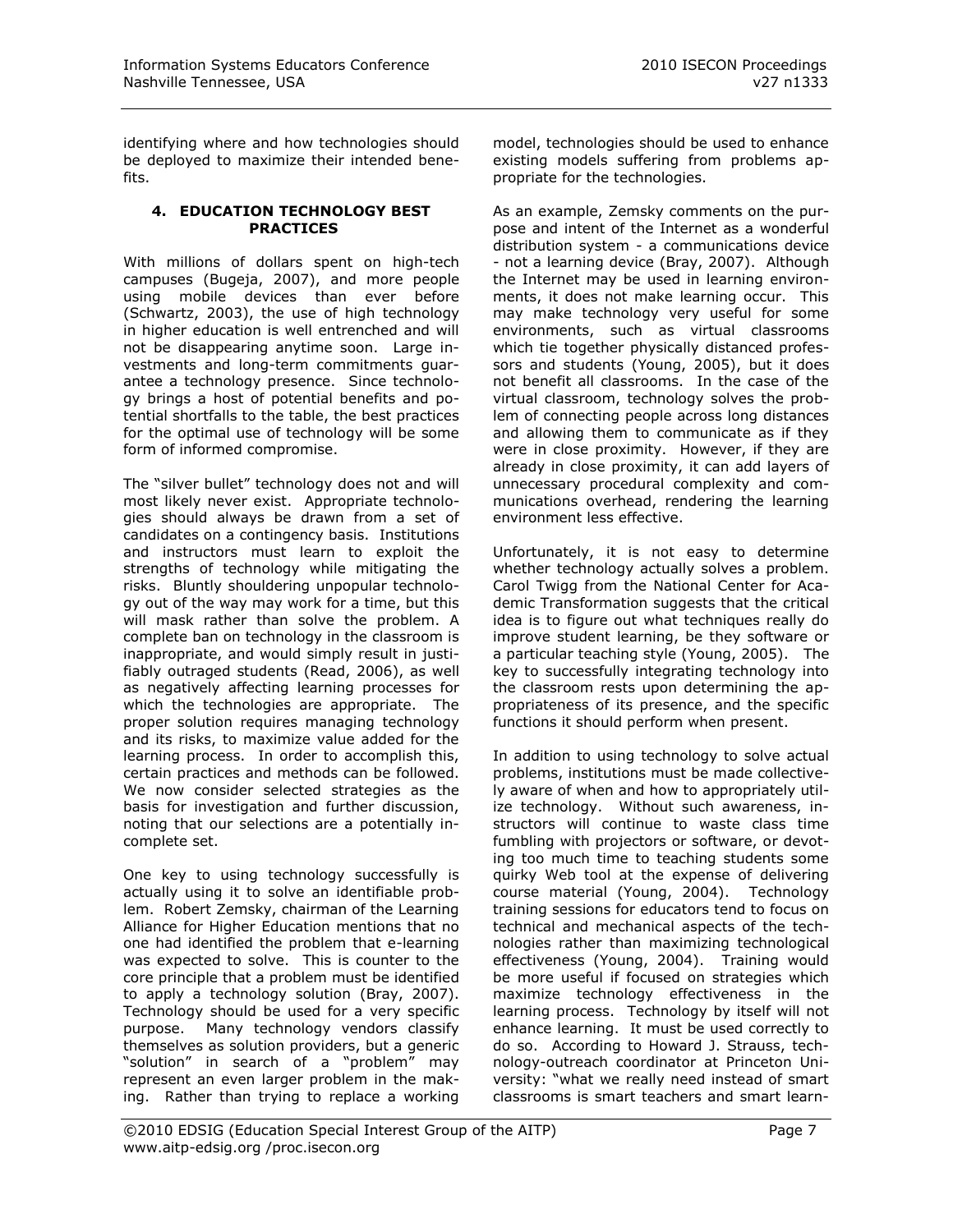identifying where and how technologies should be deployed to maximize their intended benefits.

#### **4. EDUCATION TECHNOLOGY BEST PRACTICES**

With millions of dollars spent on high-tech campuses (Bugeja, 2007), and more people using mobile devices than ever before (Schwartz, 2003), the use of high technology in higher education is well entrenched and will not be disappearing anytime soon. Large investments and long-term commitments guarantee a technology presence. Since technology brings a host of potential benefits and potential shortfalls to the table, the best practices for the optimal use of technology will be some form of informed compromise.

The "silver bullet" technology does not and will most likely never exist. Appropriate technologies should always be drawn from a set of candidates on a contingency basis. Institutions and instructors must learn to exploit the strengths of technology while mitigating the risks. Bluntly shouldering unpopular technology out of the way may work for a time, but this will mask rather than solve the problem. A complete ban on technology in the classroom is inappropriate, and would simply result in justifiably outraged students (Read, 2006), as well as negatively affecting learning processes for which the technologies are appropriate. The proper solution requires managing technology and its risks, to maximize value added for the learning process. In order to accomplish this, certain practices and methods can be followed. We now consider selected strategies as the basis for investigation and further discussion, noting that our selections are a potentially incomplete set.

One key to using technology successfully is actually using it to solve an identifiable problem. Robert Zemsky, chairman of the Learning Alliance for Higher Education mentions that no one had identified the problem that e-learning was expected to solve. This is counter to the core principle that a problem must be identified to apply a technology solution (Bray, 2007). Technology should be used for a very specific purpose. Many technology vendors classify themselves as solution providers, but a generic "solution" in search of a "problem" may represent an even larger problem in the making. Rather than trying to replace a working

model, technologies should be used to enhance existing models suffering from problems appropriate for the technologies.

As an example, Zemsky comments on the purpose and intent of the Internet as a wonderful distribution system - a communications device - not a learning device (Bray, 2007). Although the Internet may be used in learning environments, it does not make learning occur. This may make technology very useful for some environments, such as virtual classrooms which tie together physically distanced professors and students (Young, 2005), but it does not benefit all classrooms. In the case of the virtual classroom, technology solves the problem of connecting people across long distances and allowing them to communicate as if they were in close proximity. However, if they are already in close proximity, it can add layers of unnecessary procedural complexity and communications overhead, rendering the learning environment less effective.

Unfortunately, it is not easy to determine whether technology actually solves a problem. Carol Twigg from the National Center for Academic Transformation suggests that the critical idea is to figure out what techniques really do improve student learning, be they software or a particular teaching style (Young, 2005). The key to successfully integrating technology into the classroom rests upon determining the appropriateness of its presence, and the specific functions it should perform when present.

In addition to using technology to solve actual problems, institutions must be made collectively aware of when and how to appropriately utilize technology. Without such awareness, instructors will continue to waste class time fumbling with projectors or software, or devoting too much time to teaching students some quirky Web tool at the expense of delivering course material (Young, 2004). Technology training sessions for educators tend to focus on technical and mechanical aspects of the technologies rather than maximizing technological effectiveness (Young, 2004). Training would be more useful if focused on strategies which maximize technology effectiveness in the learning process. Technology by itself will not enhance learning. It must be used correctly to do so. According to Howard J. Strauss, technology-outreach coordinator at Princeton University: "what we really need instead of smart classrooms is smart teachers and smart learn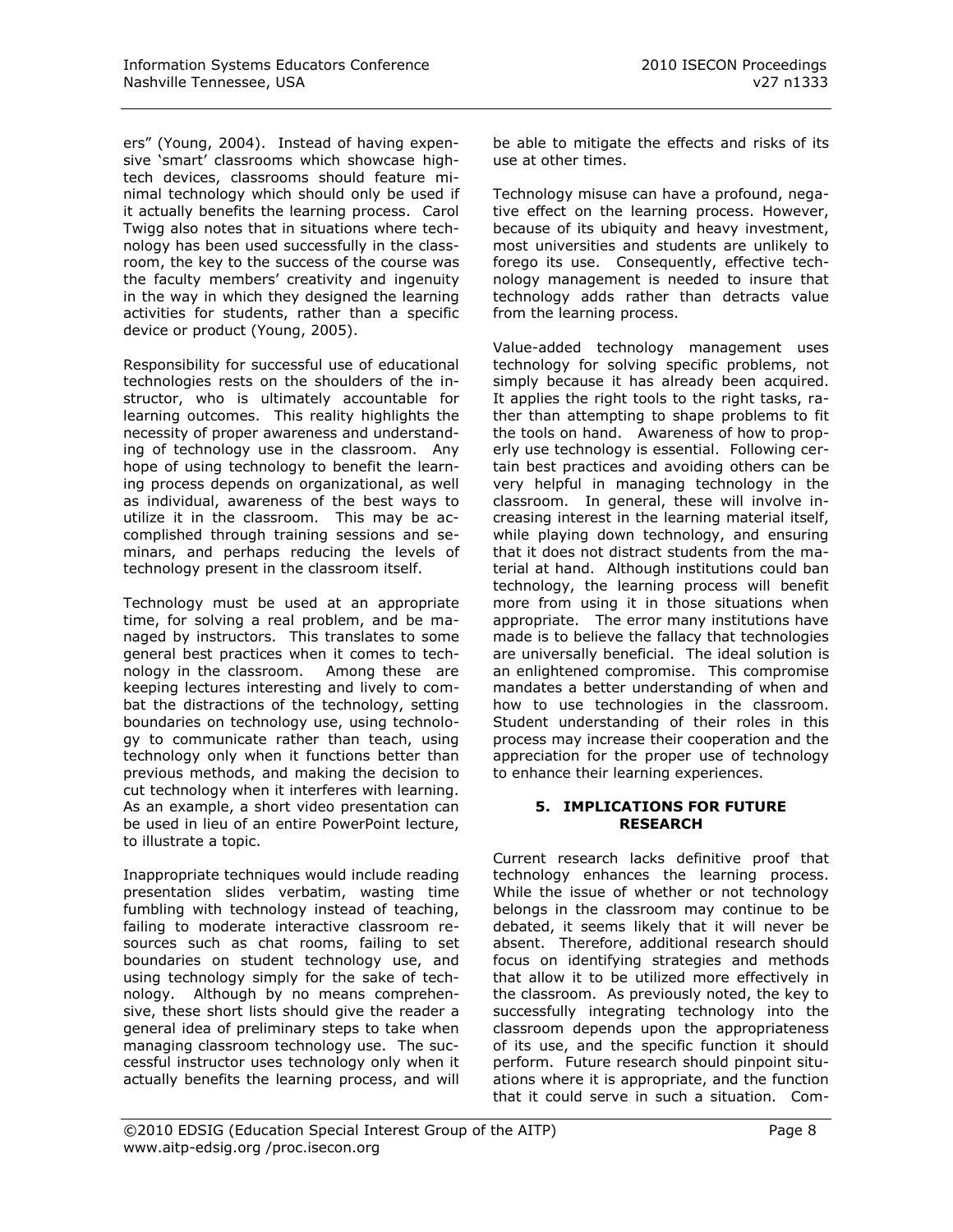ers" (Young, 2004). Instead of having expensive "smart" classrooms which showcase hightech devices, classrooms should feature minimal technology which should only be used if it actually benefits the learning process. Carol Twigg also notes that in situations where technology has been used successfully in the classroom, the key to the success of the course was the faculty members' creativity and ingenuity in the way in which they designed the learning activities for students, rather than a specific device or product (Young, 2005).

Responsibility for successful use of educational technologies rests on the shoulders of the instructor, who is ultimately accountable for learning outcomes. This reality highlights the necessity of proper awareness and understanding of technology use in the classroom. Any hope of using technology to benefit the learning process depends on organizational, as well as individual, awareness of the best ways to utilize it in the classroom. This may be accomplished through training sessions and seminars, and perhaps reducing the levels of technology present in the classroom itself.

Technology must be used at an appropriate time, for solving a real problem, and be managed by instructors. This translates to some general best practices when it comes to technology in the classroom. Among these are keeping lectures interesting and lively to combat the distractions of the technology, setting boundaries on technology use, using technology to communicate rather than teach, using technology only when it functions better than previous methods, and making the decision to cut technology when it interferes with learning. As an example, a short video presentation can be used in lieu of an entire PowerPoint lecture, to illustrate a topic.

Inappropriate techniques would include reading presentation slides verbatim, wasting time fumbling with technology instead of teaching, failing to moderate interactive classroom resources such as chat rooms, failing to set boundaries on student technology use, and using technology simply for the sake of technology. Although by no means comprehensive, these short lists should give the reader a general idea of preliminary steps to take when managing classroom technology use. The successful instructor uses technology only when it actually benefits the learning process, and will be able to mitigate the effects and risks of its use at other times.

Technology misuse can have a profound, negative effect on the learning process. However, because of its ubiquity and heavy investment, most universities and students are unlikely to forego its use. Consequently, effective technology management is needed to insure that technology adds rather than detracts value from the learning process.

Value-added technology management uses technology for solving specific problems, not simply because it has already been acquired. It applies the right tools to the right tasks, rather than attempting to shape problems to fit the tools on hand. Awareness of how to properly use technology is essential. Following certain best practices and avoiding others can be very helpful in managing technology in the classroom. In general, these will involve increasing interest in the learning material itself, while playing down technology, and ensuring that it does not distract students from the material at hand. Although institutions could ban technology, the learning process will benefit more from using it in those situations when appropriate. The error many institutions have made is to believe the fallacy that technologies are universally beneficial. The ideal solution is an enlightened compromise. This compromise mandates a better understanding of when and how to use technologies in the classroom. Student understanding of their roles in this process may increase their cooperation and the appreciation for the proper use of technology to enhance their learning experiences.

#### **5. IMPLICATIONS FOR FUTURE RESEARCH**

Current research lacks definitive proof that technology enhances the learning process. While the issue of whether or not technology belongs in the classroom may continue to be debated, it seems likely that it will never be absent. Therefore, additional research should focus on identifying strategies and methods that allow it to be utilized more effectively in the classroom.As previously noted, the key to successfully integrating technology into the classroom depends upon the appropriateness of its use, and the specific function it should perform. Future research should pinpoint situations where it is appropriate, and the function that it could serve in such a situation. Com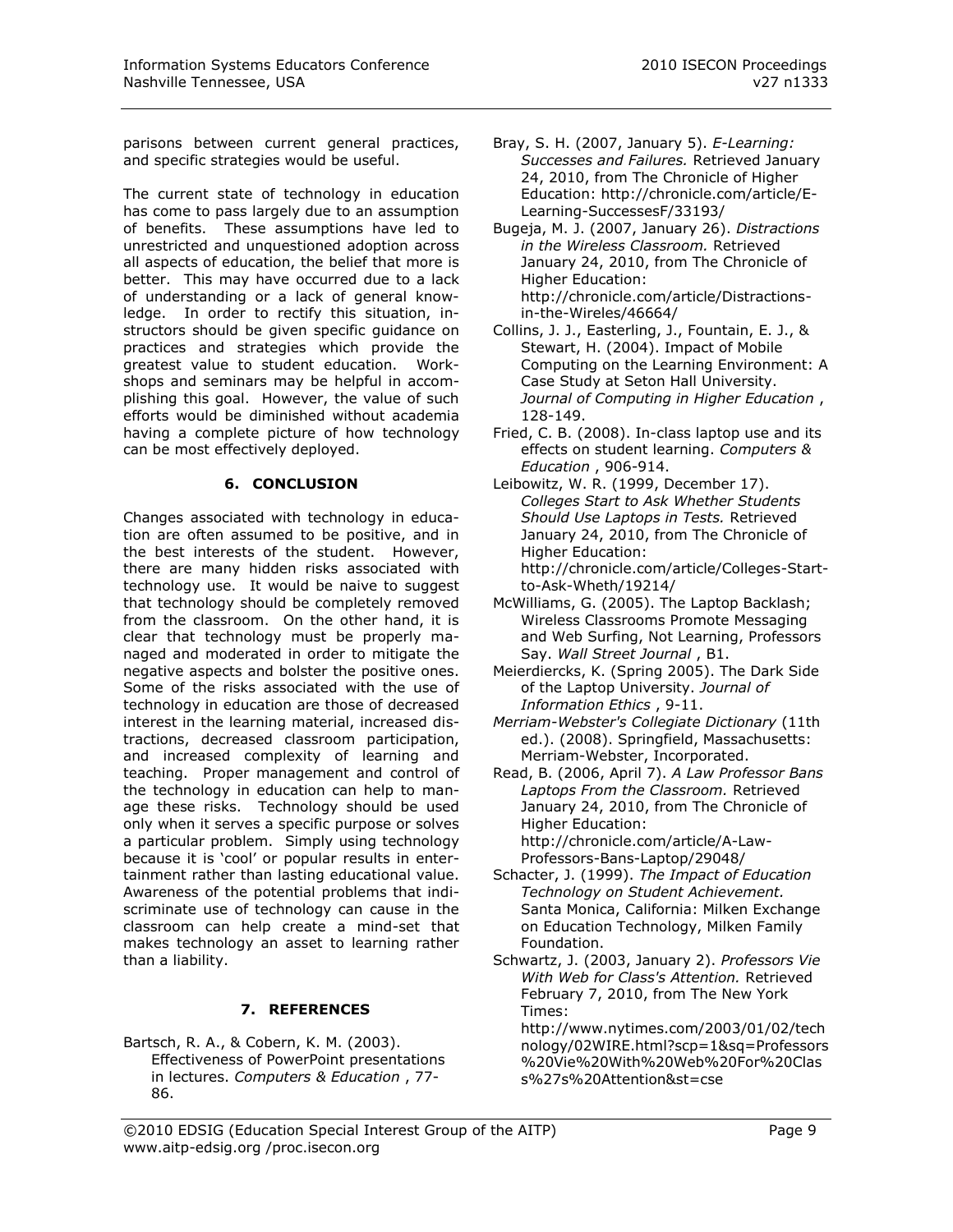parisons between current general practices, and specific strategies would be useful.

The current state of technology in education has come to pass largely due to an assumption of benefits. These assumptions have led to unrestricted and unquestioned adoption across all aspects of education, the belief that more is better. This may have occurred due to a lack of understanding or a lack of general knowledge. In order to rectify this situation, instructors should be given specific guidance on practices and strategies which provide the greatest value to student education. Workshops and seminars may be helpful in accomplishing this goal. However, the value of such efforts would be diminished without academia having a complete picture of how technology can be most effectively deployed.

#### **6. CONCLUSION**

Changes associated with technology in education are often assumed to be positive, and in the best interests of the student. However, there are many hidden risks associated with technology use. It would be naive to suggest that technology should be completely removed from the classroom. On the other hand, it is clear that technology must be properly managed and moderated in order to mitigate the negative aspects and bolster the positive ones. Some of the risks associated with the use of technology in education are those of decreased interest in the learning material, increased distractions, decreased classroom participation, and increased complexity of learning and teaching. Proper management and control of the technology in education can help to manage these risks. Technology should be used only when it serves a specific purpose or solves a particular problem. Simply using technology because it is "cool" or popular results in entertainment rather than lasting educational value. Awareness of the potential problems that indiscriminate use of technology can cause in the classroom can help create a mind-set that makes technology an asset to learning rather than a liability.

## **7. REFERENCES**

Bartsch, R. A., & Cobern, K. M. (2003). Effectiveness of PowerPoint presentations in lectures. *Computers & Education* , 77- 86.

- Bray, S. H. (2007, January 5). *E-Learning: Successes and Failures.* Retrieved January 24, 2010, from The Chronicle of Higher Education: http://chronicle.com/article/E-Learning-SuccessesF/33193/
- Bugeja, M. J. (2007, January 26). *Distractions in the Wireless Classroom.* Retrieved January 24, 2010, from The Chronicle of Higher Education: http://chronicle.com/article/Distractionsin-the-Wireles/46664/
- Collins, J. J., Easterling, J., Fountain, E. J., & Stewart, H. (2004). Impact of Mobile Computing on the Learning Environment: A Case Study at Seton Hall University. *Journal of Computing in Higher Education* , 128-149.
- Fried, C. B. (2008). In-class laptop use and its effects on student learning. *Computers & Education* , 906-914.
- Leibowitz, W. R. (1999, December 17). *Colleges Start to Ask Whether Students Should Use Laptops in Tests.* Retrieved January 24, 2010, from The Chronicle of Higher Education: http://chronicle.com/article/Colleges-Startto-Ask-Wheth/19214/
- McWilliams, G. (2005). The Laptop Backlash; Wireless Classrooms Promote Messaging and Web Surfing, Not Learning, Professors Say. *Wall Street Journal* , B1.
- Meierdiercks, K. (Spring 2005). The Dark Side of the Laptop University. *Journal of Information Ethics* , 9-11.
- *Merriam-Webster's Collegiate Dictionary* (11th ed.). (2008). Springfield, Massachusetts: Merriam-Webster, Incorporated.
- Read, B. (2006, April 7). *A Law Professor Bans Laptops From the Classroom.* Retrieved January 24, 2010, from The Chronicle of Higher Education: http://chronicle.com/article/A-Law-Professors-Bans-Laptop/29048/
- Schacter, J. (1999). *The Impact of Education Technology on Student Achievement.* Santa Monica, California: Milken Exchange on Education Technology, Milken Family Foundation.
- Schwartz, J. (2003, January 2). *Professors Vie With Web for Class's Attention.* Retrieved February 7, 2010, from The New York Times:

http://www.nytimes.com/2003/01/02/tech nology/02WIRE.html?scp=1&sq=Professors %20Vie%20With%20Web%20For%20Clas s%27s%20Attention&st=cse